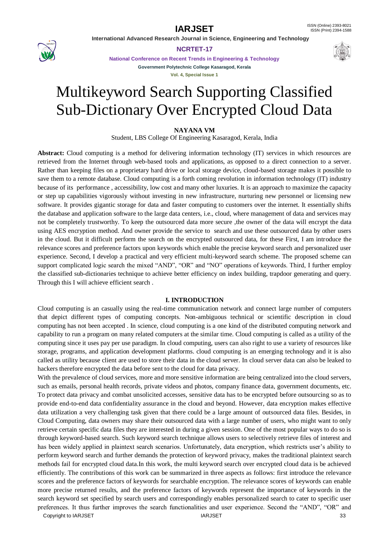

**NCRTET-17**

**National Conference on Recent Trends in Engineering & Technology Government Polytechnic College Kasaragod, Kerala**

**Vol. 4, Special Issue 1**

# Multikeyword Search Supporting Classified Sub-Dictionary Over Encrypted Cloud Data

**NAYANA VM**

Student, LBS College Of Engineering Kasaragod, Kerala, India

**Abstract:** Cloud computing is a method for delivering information technology (IT) services in which resources are retrieved from the Internet through web-based tools and applications, as opposed to a direct connection to a server. Rather than keeping files on a proprietary hard drive or local storage device, cloud-based storage makes it possible to save them to a remote database. Cloud computing is a forth coming revolution in information technology (IT) industry because of its performance , accessibility, low cost and many other luxuries. It is an approach to maximize the capacity or step up capabilities vigorously without investing in new infrastructure, nurturing new personnel or licensing new software. It provides gigantic storage for data and faster computing to customers over the internet. It essentially shifts the database and application software to the large data centers, i.e., cloud, where management of data and services may not be completely trustworthy. To keep the outsourced data more secure ,the owner of the data will encrypt the data using AES encryption method. And owner provide the service to search and use these outsourced data by other users in the cloud. But it difficult perform the search on the encrypted outsourced data, for these First, I am introduce the relevance scores and preference factors upon keywords which enable the precise keyword search and personalized user experience. Second, I develop a practical and very efficient multi-keyword search scheme. The proposed scheme can support complicated logic search the mixed "AND", "OR" and "NO" operations of keywords. Third, I further employ the classified sub-dictionaries technique to achieve better efficiency on index building, trapdoor generating and query. Through this I will achieve efficient search .

### **I. INTRODUCTION**

Cloud computing is an casually using the real-time communication network and connect large number of computers that depict different types of computing concepts. Non-ambiguous technical or scientific description in cloud computing has not been accepted . In science, cloud computing is a one kind of the distributed computing network and capability to run a program on many related computers at the similar time. Cloud computing is called as a utility of the computing since it uses pay per use paradigm. In cloud computing, users can also right to use a variety of resources like storage, programs, and application development platforms. cloud computing is an emerging technology and it is also called as utility because client are used to store their data in the cloud server. In cloud server data can also be leaked to hackers therefore encrypted the data before sent to the cloud for data privacy.

Copyright to IARJSET 33 With the prevalence of cloud services, more and more sensitive information are being centralized into the cloud servers, such as emails, personal health records, private videos and photos, company finance data, government documents, etc. To protect data privacy and combat unsolicited accesses, sensitive data has to be encrypted before outsourcing so as to provide end-to-end data confidentiality assurance in the cloud and beyond. However, data encryption makes effective data utilization a very challenging task given that there could be a large amount of outsourced data files. Besides, in Cloud Computing, data owners may share their outsourced data with a large number of users, who might want to only retrieve certain specific data files they are interested in during a given session. One of the most popular ways to do so is through keyword-based search. Such keyword search technique allows users to selectively retrieve files of interest and has been widely applied in plaintext search scenarios. Unfortunately, data encryption, which restricts user's ability to perform keyword search and further demands the protection of keyword privacy, makes the traditional plaintext search methods fail for encrypted cloud data.In this work, the multi keyword search over encrypted cloud data is be achieved efficiently. The contributions of this work can be summarized in three aspects as follows: first introduce the relevance scores and the preference factors of keywords for searchable encryption. The relevance scores of keywords can enable more precise returned results, and the preference factors of keywords represent the importance of keywords in the search keyword set specified by search users and correspondingly enables personalized search to cater to specific user preferences. It thus further improves the search functionalities and user experience. Second the "AND", "OR" and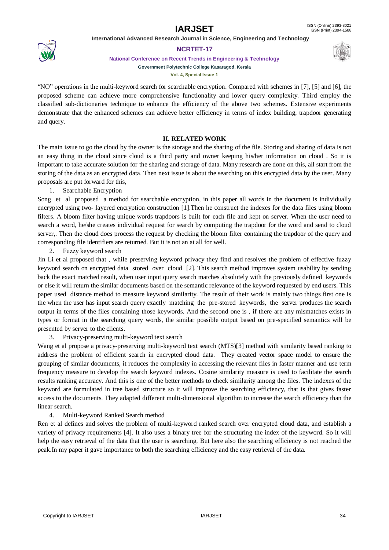

### **NCRTET-17**

**National Conference on Recent Trends in Engineering & Technology**



**Vol. 4, Special Issue 1**

"NO" operations in the multi-keyword search for searchable encryption. Compared with schemes in [7], [5] and [6], the proposed scheme can achieve more comprehensive functionality and lower query complexity. Third employ the classified sub-dictionaries technique to enhance the efficiency of the above two schemes. Extensive experiments demonstrate that the enhanced schemes can achieve better efficiency in terms of index building, trapdoor generating and query.

# **II. RELATED WORK**

The main issue to go the cloud by the owner is the storage and the sharing of the file. Storing and sharing of data is not an easy thing in the cloud since cloud is a third party and owner keeping his/her information on cloud . So it is important to take accurate solution for the sharing and storage of data. Many research are done on this, all start from the storing of the data as an encrypted data. Then next issue is about the searching on this encrypted data by the user. Many proposals are put forward for this,

1. Searchable Encryption

Song et al proposed a method for searchable encryption, in this paper all words in the document is individually encrypted using two- layered encryption construction [1].Then he construct the indexes for the data files using bloom filters. A bloom filter having unique words trapdoors is built for each file and kept on server. When the user need to search a word, he/she creates individual request for search by computing the trapdoor for the word and send to cloud server,. Then the cloud does process the request by checking the bloom filter containing the trapdoor of the query and corresponding file identifiers are returned. But it is not an at all for well.

2. Fuzzy keyword search

Jin Li et al proposed that , while preserving keyword privacy they find and resolves the problem of effective fuzzy keyword search on encrypted data stored over cloud [2]. This search method improves system usability by sending back the exact matched result, when user input query search matches absolutely with the previously defined keywords or else it will return the similar documents based on the semantic relevance of the keyword requested by end users. This paper used distance method to measure keyword similarity. The result of their work is mainly two things first one is the when the user has input search query exactly matching the pre-stored keywords, the server produces the search output in terms of the files containing those keywords. And the second one is , if there are any mismatches exists in types or format in the searching query words, the similar possible output based on pre-specified semantics will be presented by server to the clients.

3. Privacy-preserving multi-keyword text search

Wang et al propose a privacy-preserving multi-keyword text search (MTS)[3] method with similarity based ranking to address the problem of efficient search in encrypted cloud data. They created vector space model to ensure the grouping of similar documents, it reduces the complexity in accessing the relevant files in faster manner and use term frequency measure to develop the search keyword indexes. Cosine similarity measure is used to facilitate the search results ranking accuracy. And this is one of the better methods to check similarity among the files. The indexes of the keyword are formulated in tree based structure so it will improve the searching efficiency, that is that gives faster access to the documents. They adapted different multi-dimensional algorithm to increase the search efficiency than the linear search.

# 4. Multi-keyword Ranked Search method

Ren et al defines and solves the problem of multi-keyword ranked search over encrypted cloud data, and establish a variety of privacy requirements [4]. It also uses a binary tree for the structuring the index of the keyword. So it will help the easy retrieval of the data that the user is searching. But here also the searching efficiency is not reached the peak.In my paper it gave importance to both the searching efficiency and the easy retrieval of the data.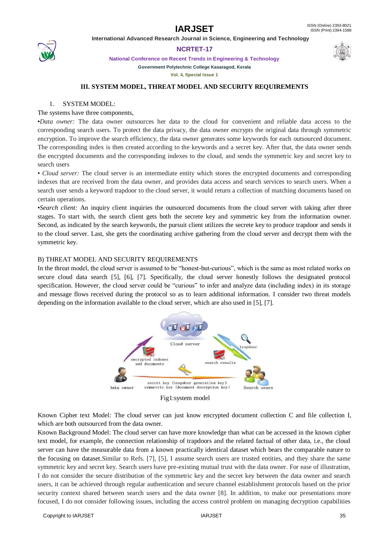

**NCRTET-17**

**National Conference on Recent Trends in Engineering & Technology**

**Government Polytechnic College Kasaragod, Kerala**

**Vol. 4, Special Issue 1**

#### **III. SYSTEM MODEL, THREAT MODEL AND SECURITY REQUIREMENTS**

#### 1. SYSTEM MODEL:

### The systems have three components,

•*Data owner:* The data owner outsources her data to the cloud for convenient and reliable data access to the corresponding search users. To protect the data privacy, the data owner encrypts the original data through symmetric encryption. To improve the search efficiency, the data owner generates some keywords for each outsourced document. The corresponding index is then created according to the keywords and a secret key. After that, the data owner sends the encrypted documents and the corresponding indexes to the cloud, and sends the symmetric key and secret key to search users

• *Cloud server:* The cloud server is an intermediate entity which stores the encrypted documents and corresponding indexes that are received from the data owner, and provides data access and search services to search users. When a search user sends a keyword trapdoor to the cloud server, it would return a collection of matching documents based on certain operations.

•*Search client:* An inquiry client inquiries the outsourced documents from the cloud server with taking after three stages. To start with, the search client gets both the secrete key and symmetric key from the information owner. Second, as indicated by the search keywords, the pursuit client utilizes the secrete key to produce trapdoor and sends it to the cloud server. Last, she gets the coordinating archive gathering from the cloud server and decrypt them with the symmetric key.

#### B) THREAT MODEL AND SECURITY REQUIREMENTS

In the threat model, the cloud server is assumed to be "honest-but-curious", which is the same as most related works on secure cloud data search [5], [6], [7]. Specifically, the cloud server honestly follows the designated protocol specification. However, the cloud server could be "curious" to infer and analyze data (including index) in its storage and message flows received during the protocol so as to learn additional information. I consider two threat models depending on the information available to the cloud server, which are also used in [5], [7].



Fig1:system model

Known Cipher text Model*:* The cloud server can just know encrypted document collection C and file collection I, which are both outsourced from the data owner.

Known Background Model: The cloud server can have more knowledge than what can be accessed in the known cipher text model, for example, the connection relationship of trapdoors and the related factual of other data, i.e., the cloud server can have the measurable data from a known practically identical dataset which bears the comparable nature to the focusing on dataset.Similar to Refs. [7], [5], I assume search users are trusted entities, and they share the same symmetric key and secret key. Search users have pre-existing mutual trust with the data owner. For ease of illustration, I do not consider the secure distribution of the symmetric key and the secret key between the data owner and search users, it can be achieved through regular authentication and secure channel establishment protocols based on the prior security context shared between search users and the data owner [8]. In addition, to make our presentations more focused, I do not consider following issues, including the access control problem on managing decryption capabilities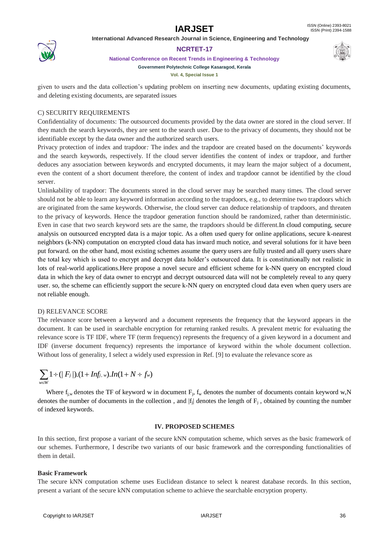

### **NCRTET-17**

**National Conference on Recent Trends in Engineering & Technology**



**Vol. 4, Special Issue 1**

given to users and the data collection"s updating problem on inserting new documents, updating existing documents, and deleting existing documents, are separated issues

## C) SECURITY REQUIREMENTS

Confidentiality of documents: The outsourced documents provided by the data owner are stored in the cloud server. If they match the search keywords, they are sent to the search user. Due to the privacy of documents, they should not be identifiable except by the data owner and the authorized search users.

Privacy protection of index and trapdoor*:* The index and the trapdoor are created based on the documents" keywords and the search keywords, respectively. If the cloud server identifies the content of index or trapdoor, and further deduces any association between keywords and encrypted documents, it may learn the major subject of a document, even the content of a short document therefore, the content of index and trapdoor cannot be identified by the cloud server.

Unlinkability of trapdoor: The documents stored in the cloud server may be searched many times. The cloud server should not be able to learn any keyword information according to the trapdoors, e.g., to determine two trapdoors which are originated from the same keywords. Otherwise, the cloud server can deduce relationship of trapdoors, and threaten to the privacy of keywords. Hence the trapdoor generation function should be randomized, rather than deterministic. Even in case that two search keyword sets are the same, the trapdoors should be different.In cloud computing, secure analysis on outsourced encrypted data is a major topic. As a often used query for online applications, secure k-nearest neighbors (k-NN) computation on encrypted cloud data has inward much notice, and several solutions for it have been put forward. on the other hand, most existing schemes assume the query users are fully trusted and all query users share the total key which is used to encrypt and decrypt data holder"s outsourced data. It is constitutionally not realistic in lots of real-world applications.Here propose a novel secure and efficient scheme for k-NN query on encrypted cloud data in which the key of data owner to encrypt and decrypt outsourced data will not be completely reveal to any query user. so, the scheme can efficiently support the secure k-NN query on encrypted cloud data even when query users are not reliable enough.

### D) RELEVANCE SCORE

The relevance score between a keyword and a document represents the frequency that the keyword appears in the document. It can be used in searchable encryption for returning ranked results. A prevalent metric for evaluating the relevance score is TF IDF, where TF (term frequency) represents the frequency of a given keyword in a document and IDF (inverse document frequency) represents the importance of keyword within the whole document collection. Without loss of generality, I select a widely used expression in Ref. [9] to evaluate the relevance score as

$$
\sum_{w \in W} 1 \div (\mid F_j \mid) . (1 + Inf_{j, w}) . In (1 + N \div f_w)
$$

Where  $f_{i,w}$  denotes the TF of keyword w in document  $F_i$ ,  $f_w$  denotes the number of documents contain keyword w,N denotes the number of documents in the collection, and  $|f_j|$  denotes the length of  $F_j$ , obtained by counting the number of indexed keywords.

### **IV. PROPOSED SCHEMES**

In this section, first propose a variant of the secure kNN computation scheme, which serves as the basic framework of our schemes. Furthermore, I describe two variants of our basic framework and the corresponding functionalities of them in detail.

### **Basic Framework**

The secure kNN computation scheme uses Euclidean distance to select k nearest database records. In this section, present a variant of the secure kNN computation scheme to achieve the searchable encryption property.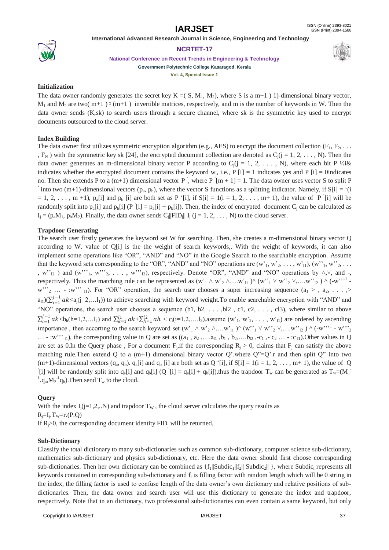

### **NCRTET-17**

**National Conference on Recent Trends in Engineering & Technology Government Polytechnic College Kasaragod, Kerala**

**Vol. 4, Special Issue 1**

# **Initialization**

The data owner randomly generates the secret key K = ( S, M<sub>1</sub>, M<sub>2</sub>), where S is a m+1 ) 1)-dimensional binary vector,  $M_1$  and  $M_2$  are two( m+1)  $\chi$  (m+1) invertible matrices, respectively, and m is the number of keywords in W. Then the data owner sends (K,sk) to search users through a secure channel, where sk is the symmetric key used to encrypt documents outsourced to the cloud server.

# **Index Building**

The data owner first utilizes symmetric encryption algorithm (e.g., AES) to encrypt the document collection  $(F_1, F_2, \ldots)$ ,  $F_N$ ) with the symmetric key sk [24], the encrypted document collection are denoted as  $C_i$ ( $i = 1, 2, \ldots, N$ ). Then the data owner generates an m-dimensional binary vector P according to  $C_i$ (j = 1, 2, ..., N), where each bit P ½i& indicates whether the encrypted document contains the keyword  $w_i$ , i.e.,  $P[i] = 1$  indicates yes and  $P[i] = 0$ indicates no. Then she extends P to a (m+1) dimensional vector P, where P [m + 1] = 1. The data owner uses vector S to split P into two (m+1)-dimensional vectors ( $p_a$ ,  $p_b$ ), where the vector S functions as a splitting indicator. Namely, if S[i] = '(i  $= 1, 2, \ldots, m + 1$ ),  $p_a[i]$  and  $p_b[i]$  are both set as P '[i], if  $S[i] = 1(i = 1, 2, \ldots, m+1)$ , the value of P '[i] will be randomly split into  $p_a[i]$  and  $p_b[i]$  (P [i] =  $p_a[i]$  +  $p_b[i]$ ). Then, the index of encrypted document  $C_j$  can be calculated as  $I_j = (p_a M_1, p_b M_2)$ . Finally, the data owner sends  $C_j||FID_j|| I_j$  (j = 1, 2, ..., N) to the cloud server.

# **Trapdoor Generating**

The search user firstly generates the keyword set W for searching. Then, she creates a m-dimensional binary vector Q according to W. value of Q[i] is the the weight of search keywords,. With the weight of keywords, it can also implement some operations like "OR", "AND" and "NO" in the Google Search to the searchable encryption. Assume that the keyword sets corresponding to the "OR", "AND" and "NO" operations are  $(w_1, w_2, \ldots, w_{1l})$ ,  $(w_1, w_2, \ldots, w_{1l})$ , w" $_{12}$ ) and (w"'<sub>1</sub>, w"'<sub>2</sub>, ..., w"'<sub>13</sub>), respectively. Denote "OR", "AND" and "NO" operations by  $\wedge$ , $\vee$ , and -, respectively. Thus the matching rule can be represented as  $(w_1 \wedge w_2 \wedge ... w_{11}) \wedge (w_1 \vee w_2 \vee ... w_{12}) \wedge (w_1 \vee w_2 \vee ... w_{n2})$  $w''$   $_2$  ... - :w''' <sub>11</sub>). For "OR" operation, the search user chooses a super increasing sequence  $(a_1 > a_2, \ldots, a_n)$  $a_{11})(\sum_{i=1}^{j-1}ak_i)$  $\sum_{i=1}^{j-1} a k \langle a_i(j=2,...l_1) \rangle$  to achieve searching with keyword weight. To enable searchable encryption with "AND" and "NO" operations, the search user chooses a sequence  $(b1, b2, \ldots, b12, c1, c2, \ldots, c13)$ , where similar to above  $\sum_{i=1}^{j-1} ak$  $\sum_{i=1}^{j-1} a k < b_h(h=1,2,...l_2)$  and  $\sum_{k=1}^{l1} a k + \sum_{h=1}^{l2} a h < c_i(i=1,2,...l_3)$  assume  $(w_1, w_2, ..., w_{11})$  are ordered by ascending importance, then accorting to the search keyword set  $(w_1 \wedge w_2 \wedge ... w_{11}) \wedge (w_1 \vee w_2 \vee ... w_{12}) \wedge (-w_1 \vee w_2 \vee ... w_{n2})$  $\ldots$  - :w"" <sub>11</sub>), the corresponding value in Q are set as  $((a_1, a_2, \ldots, a_{l1}, b_1, b_2, \ldots, b_{l2}, -c_1, -c_2, \ldots, -c_{l1})$ . Other values in Q are set as 0.In the Query phase, For a document  $F_j$ , if the corresponding  $R_j > 0$ , claims that  $F_j$  can satisfy the above matching rule. Then extend Q to a  $(m+1)$  dimensional binary vector Q' where Q"=Q' r and then split Q" into two  $(m+1)$ -dimensional vectors  $(q_a, q_b)$ .  $q_a[i]$  and  $q_b[i]$  are both set as Q '[i], if S[i] = 1(i = 1, 2, ..., m+ 1), the value of Q [i] will be randomly split into  $q_a[i]$  and  $q_b[i]$  (Q [i] =  $q_a[i] + q_b[i]$ ).thus the trapdoor  $T_w$  can be generated as  $T_w=(M_1 - M_2)$ <sup>1</sup>. $q_a$ , $M_2$ <sup>-1</sup> $q_b$ ). Then send  $T_w$  to the cloud.

# **Query**

With the index  $I_i(i=1,2...N)$  and trapdoor  $T_w$ , the cloud server calculates the query results as  $R_j = I_j$ .  $T_w = r$ .  $(P,Q)$ If  $R_i > 0$ , the corresponding document identity  $FID_i$  will be returned.

# **Sub-Dictionary**

Classify the total dictionary to many sub-dictionaries such as common sub-dictionary, computer science sub-dictionary, mathematics sub-dictionary and physics sub-dictionary, etc. Here the data owner should first choose corresponding sub-dictionaries. Then her own dictionary can be combined as  $\{f_1\|\text{Subdic}_1\|f_2\|$  Subdic<sub>2</sub> $\|\}$ , where Subdic<sub>i</sub> represents all keywords contained in corresponding sub-dictionary and  $f_i$  is filling factor with random length which will be 0 string in the index, the filling factor is used to confuse length of the data owner"s own dictionary and relative positions of subdictionaries. Then, the data owner and search user will use this dictionary to generate the index and trapdoor, respectively. Note that in an dictionary, two professional sub-dictionaries can even contain a same keyword, but only